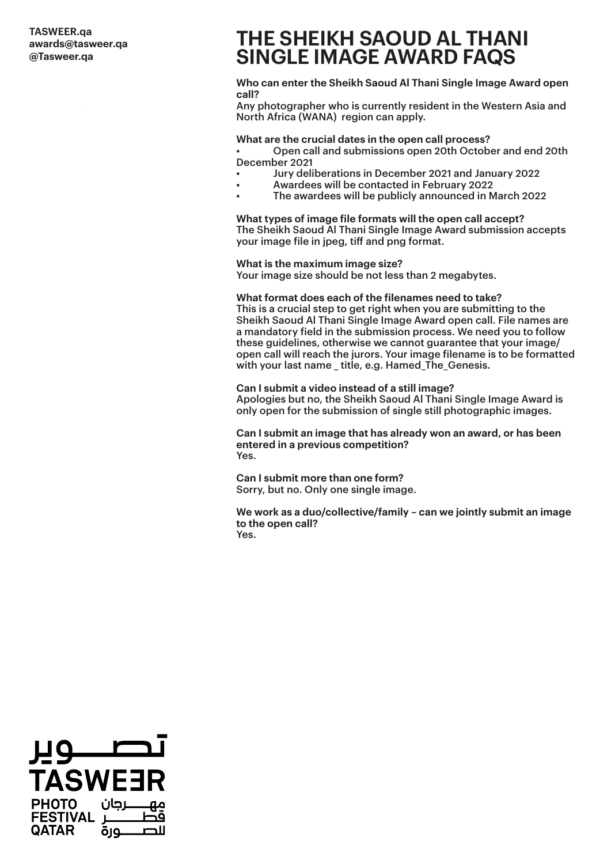## **P.O.Box .ب.ص TASWEER.qa الدوحة، قطر2777 awards@tasweer.qa Doha Qatar,2777 @Tasweer.qa**

# **THE SHEIKH SAOUD AL THANI SINGLE IMAGE AWARD FAQS**

### **Who can enter the Sheikh Saoud Al Thani Single Image Award open call?**

Any photographer who is currently resident in the Western Asia and North Africa (WANA) region can apply.

## **What are the crucial dates in the open call process?**

• Open call and submissions open 20th October and end 20th December 2021

- Jury deliberations in December 2021 and January 2022
- Awardees will be contacted in February 2022
- The awardees will be publicly announced in March 2022

**What types of image file formats will the open call accept?** The Sheikh Saoud Al Thani Single Image Award submission accepts your image file in jpeg, tiff and png format.

#### **What is the maximum image size?**

Your image size should be not less than 2 megabytes.

#### **What format does each of the filenames need to take?**

This is a crucial step to get right when you are submitting to the Sheikh Saoud Al Thani Single Image Award open call. File names are a mandatory field in the submission process. We need you to follow these guidelines, otherwise we cannot guarantee that your image/ open call will reach the jurors. Your image filename is to be formatted with your last name title, e.g. Hamed The Genesis.

### **Can I submit a video instead of a still image?**

Apologies but no, the Sheikh Saoud Al Thani Single Image Award is only open for the submission of single still photographic images.

**Can I submit an image that has already won an award, or has been entered in a previous competition?** Yes.

**Can I submit more than one form?** Sorry, but no. Only one single image.

**We work as a duo/collective/family – can we jointly submit an image to the open call?** Yes.

صـــــــوير **TASWEER FESTIVAL**